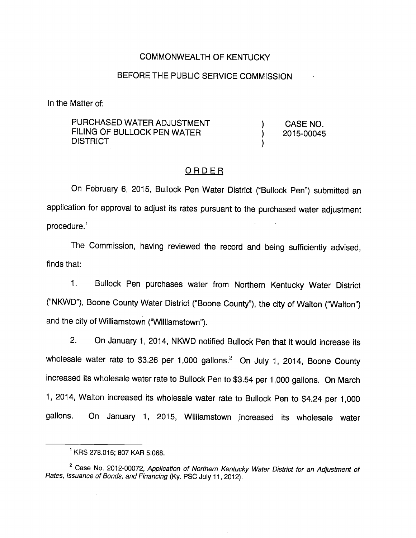# COMMONWEALTH OF KENTUCKY

# BEFORE THE PUBLIC SERVICE COMMISSION

In the Matter of:

PURCHASED WATER ADJUSTMENT (ASSENO. FILING OF BULLOCK PEN WATER  $(2015-00045)$ **DISTRICT** 

## ORDER

On February 6, 2015, Bullock Pen Water District ("Bullock Pen") submitted an application for approval to adjust its rates pursuant to the purchased water adjustment  $procedure<sup>1</sup>$ 

The Commission, having reviewed the record and being sufficiently advised, finds that:

1. Bullock Pen purchases water from Northern Kentucky Water District ("NKWD"), Boone County Water District ("Boone County"), the city of Walton ("Walton") and the city of Williamstown ("Williamstown").

2. On January 1, 2014, NKWD notified Bullock Pen that it would increase its wholesale water rate to \$3.26 per 1,000 gallons. $^2$  On July 1, 2014, Boone County increased its wholesale water rate to Bullock Pen to \$3.54 per 1,000 gallons. On March 1, 2014, Walton increased its wholesale water rate to Bullock Pen to \$4.24 per 1,000 gallons. On January 1, 2015, Williamstown increased its wholesale water

 $\ddot{\phantom{a}}$ 

<sup>&</sup>lt;sup>1</sup> KRS 278.015; 807 KAR 5:068.

<sup>&</sup>lt;sup>2</sup> Case No. 2012-00072, Application of Northern Kentucky Water District for an Adjustment of Rates, Issuance of Bonds, and Financing (Ky. PSC July 11, 2012).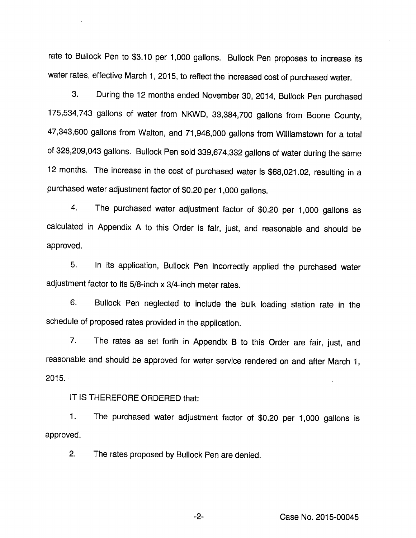rate to Bullock Pen to \$3.10 per 1,000 gallons. Bullock Pen proposes to increase its water rates, effective March 1, 2015, to reflect the increased cost of purchased water.

3. During the 12 months ended November 30, 2014, Bullock Pen purchased 175,534,743 gallons of water from NKWD, 33,384,700 gallons from Boone County, 47,343,600 gallons from Walton, and 71,946,000 gallons from Williamstown for a total of 328,209,043 gallons. Bullock Pen sold 339,674,332 gallons of water during the same 12 months. The increase in the cost of purchased water is \$68,021.02, resulting in a purchased water adjustment factor of \$0.20 per 1,000 gallons.

4. The purchased water adjustment factor of \$0.20 per 1,000 gallons as calculated in Appendix A to this Order is fair, just, and reasonable and should be approved.

5. In its application. Bullock Pen incorrectly applied the purchased water adjustment factor to its 5/8-inch x 3/4-inch meter rates.

6. Bullock Pen neglected to include the bulk loading station rate in the schedule of proposed rates provided in the application.

7. The rates as set forth in Appendix B to this Order are fair, just, and reasonable and should be approved for water service rendered on and after March 1, 2015.

#### IT IS THEREFORE ORDERED that:

1. The purchased water adjustment factor of \$0.20 per 1,000 gallons is approved.

2. The rates proposed by Bullock Pen are denied.

-2- Case No. 2015-00045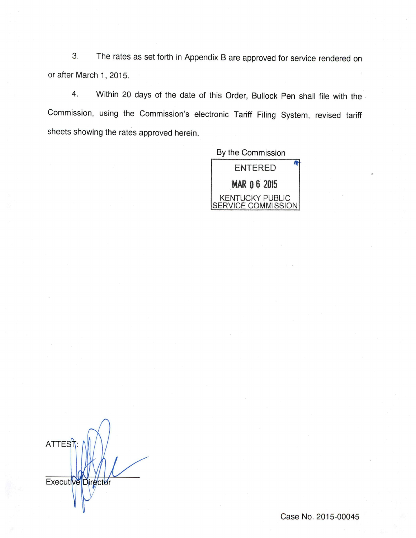3. The rates as set forth in Appendix Bare approved for service rendered on or after March 1, 2015.

4. Within 20 days of the date of this Order, Bullock Pen shall file with the Commission, using the Commission's electronic Tariff Filing System, revised tariff sheets showing the rates approved herein.

By the Commission



**ATTES**T Executive Director

Case No. 2015-00045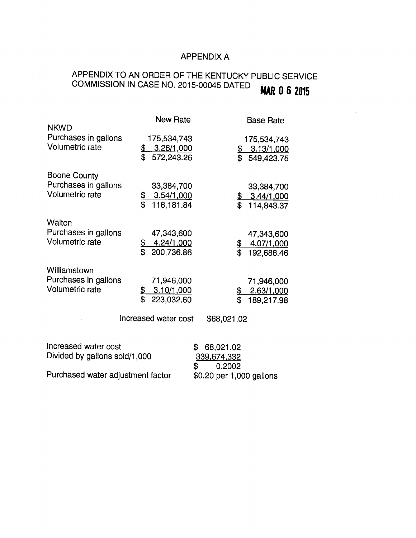# APPENDIX A

# APPENDIX TO AN ORDER OF THE KENTUCKY PUBLIC SERVICE COMMISSION IN CASE NO. 2015-00045 DATED **MAR 0 6 2015**

| <b>NKWD</b>                                                    | <b>New Rate</b>                                          |                                                | <b>Base Rate</b>                                                  |
|----------------------------------------------------------------|----------------------------------------------------------|------------------------------------------------|-------------------------------------------------------------------|
| Purchases in gallons<br>Volumetric rate                        | 175,534,743<br>\$3.26/1,000<br>\$<br>572,243.26          |                                                | 175,534,743<br>$\frac{$8, 3.13/1,000}{$549,423.75}$<br>549,423.75 |
| Boone County<br>Purchases in gallons<br>Volumetric rate        | 33,384,700<br>3.54/1,000<br><u>କ</u><br>\$<br>118,181.84 |                                                | 33,384,700<br>3.44/1,000<br>114,843.37                            |
| Walton<br>Purchases in gallons<br>Volumetric rate              | 47,343,600<br>\$<br>4.24/1,000<br>\$<br>200,736.86       | <u>\$</u><br>\$                                | 47,343,600<br>4.07/1.000<br>192,688.46                            |
| Williamstown<br>Purchases in gallons<br><b>Volumetric rate</b> | 71,946,000<br>3.10/1,000<br>\$<br>\$<br>223,032.60       | <u>\$</u><br>\$                                | 71,946,000<br>2.63/1,000<br>189,217.98                            |
|                                                                | Increased water cost                                     | \$68,021.02                                    |                                                                   |
| Increased water cost<br>Divided by gallons sold/1,000          |                                                          | 68,021.02<br>\$<br>339,674,332<br>\$<br>0.2002 |                                                                   |
| Purchased water adjustment factor                              |                                                          | \$0.20 per 1,000 gallons                       |                                                                   |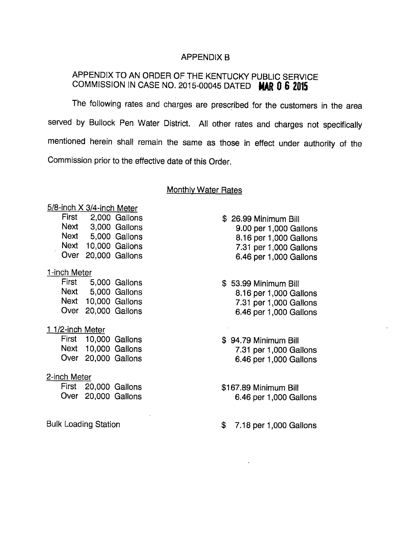## APPENDIX B

# APPENDIX TO AN ORDER OF THE KENTUCKY PUBLIC SERVICE COMMISSION IN CASE NO. 2015-00045 DATED MAR 0 6 2015

The following rates and charges are prescribed for the customers in the area served by Bullock Pen Water District. All other rates and charges not specifically mentioned herein shall remain the same as those in effect under authority of the Commission prior to the effective date of this Order.

#### **Monthly Water Rates**

| 5/8-inch X 3/4-inch Meter   |                      |                     |  |  |
|-----------------------------|----------------------|---------------------|--|--|
|                             | First 2,000 Gallons  |                     |  |  |
|                             |                      | Next 3,000 Gallons  |  |  |
| Next                        |                      | 5,000 Gallons       |  |  |
|                             |                      | Next 10,000 Gallons |  |  |
|                             | Over 20,000 Gallons  |                     |  |  |
| 1-inch Meter                |                      |                     |  |  |
|                             | First 5,000 Gallons  |                     |  |  |
|                             | Next 5,000 Gallons   |                     |  |  |
|                             | Next 10,000 Gallons  |                     |  |  |
|                             | Over 20,000 Gallons  |                     |  |  |
| <u>1 1/2-inch Meter</u>     |                      |                     |  |  |
|                             | First 10,000 Gallons |                     |  |  |
|                             | Next 10,000 Gallons  |                     |  |  |
|                             | Over 20,000 Gallons  |                     |  |  |
| <u>2-inch Meter</u>         |                      |                     |  |  |
|                             | First 20,000 Gallons |                     |  |  |
|                             | Over 20,000 Gallons  |                     |  |  |
| <b>Bulk Loading Station</b> |                      |                     |  |  |
|                             |                      |                     |  |  |

\$ 26.99 Minimum Bill 9.00 per 1,000 Gallons 8.16 per 1,000 Gallons 7.31 per 1,000 Gallons 6.46 per 1,000 Gallons

- \$ 53.99 Minimum Bill 8.16 per 1,000 Gallons 7.31 per 1,000 Gallons 6.46 per 1,000 Gallons
- \$ 94.79 Minimum Bill 7.31 per 1,000 Gallons 6.46 per 1,000 Gallons
- \$167.89 Minimum Bill 6.46 per 1,000 Gallons
- \$ 7.18 per 1,000 Gallons